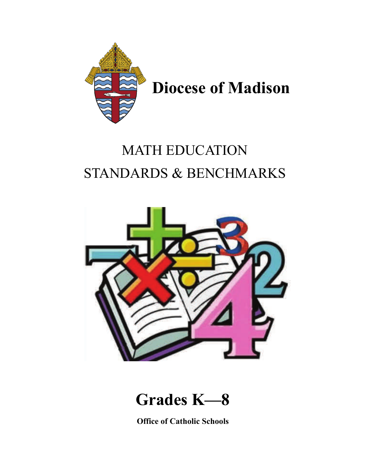

## MATH EDUCATION STANDARDS & BENCHMARKS



**Grades K—8**

**Office of Catholic Schools**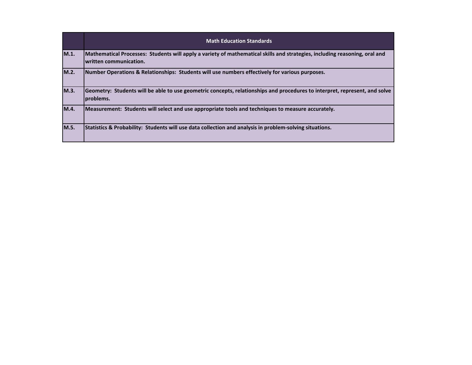|      | <b>Math Education Standards</b>                                                                                                                       |
|------|-------------------------------------------------------------------------------------------------------------------------------------------------------|
| M.1. | Mathematical Processes: Students will apply a variety of mathematical skills and strategies, including reasoning, oral and<br>Iwritten communication. |
| M.2. | Number Operations & Relationships: Students will use numbers effectively for various purposes.                                                        |
| M.3. | Geometry: Students will be able to use geometric concepts, relationships and procedures to interpret, represent, and solve<br>problems.               |
| M.4. | Measurement: Students will select and use appropriate tools and techniques to measure accurately.                                                     |
| M.5. | Statistics & Probability: Students will use data collection and analysis in problem-solving situations.                                               |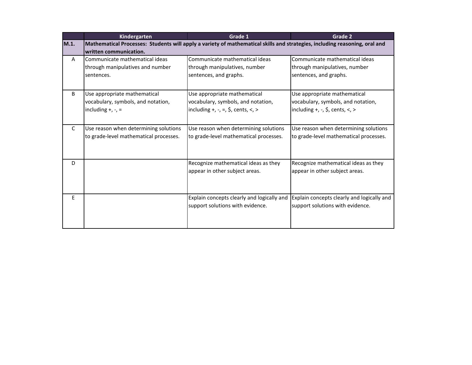|              | Kindergarten                                                                                                               | Grade 1                                                  | Grade 2                                                  |
|--------------|----------------------------------------------------------------------------------------------------------------------------|----------------------------------------------------------|----------------------------------------------------------|
| M.1.         | Mathematical Processes: Students will apply a variety of mathematical skills and strategies, including reasoning, oral and |                                                          |                                                          |
|              | written communication.                                                                                                     |                                                          |                                                          |
| A            | Communicate mathematical ideas                                                                                             | Communicate mathematical ideas                           | Communicate mathematical ideas                           |
|              | through manipulatives and number                                                                                           | through manipulatives, number                            | through manipulatives, number                            |
|              | sentences.                                                                                                                 | sentences, and graphs.                                   | sentences, and graphs.                                   |
|              |                                                                                                                            |                                                          |                                                          |
| B            | Use appropriate mathematical                                                                                               | Use appropriate mathematical                             | Use appropriate mathematical                             |
|              | vocabulary, symbols, and notation,                                                                                         | vocabulary, symbols, and notation,                       | vocabulary, symbols, and notation,                       |
|              | including $+$ , $-$ , $=$                                                                                                  | including $+$ , $-$ , $=$ , $\zeta$ , cents, $\lt$ , $>$ | including $+$ , $-$ , $\frac{1}{2}$ , cents, $\lt$ , $>$ |
|              |                                                                                                                            |                                                          |                                                          |
| $\mathsf{C}$ | Use reason when determining solutions                                                                                      | Use reason when determining solutions                    | Use reason when determining solutions                    |
|              | to grade-level mathematical processes.                                                                                     | to grade-level mathematical processes.                   | to grade-level mathematical processes.                   |
|              |                                                                                                                            |                                                          |                                                          |
|              |                                                                                                                            |                                                          |                                                          |
| D            |                                                                                                                            | Recognize mathematical ideas as they                     | Recognize mathematical ideas as they                     |
|              |                                                                                                                            | appear in other subject areas.                           | appear in other subject areas.                           |
|              |                                                                                                                            |                                                          |                                                          |
|              |                                                                                                                            |                                                          |                                                          |
| E            |                                                                                                                            | Explain concepts clearly and logically and               | Explain concepts clearly and logically and               |
|              |                                                                                                                            | support solutions with evidence.                         | support solutions with evidence.                         |
|              |                                                                                                                            |                                                          |                                                          |
|              |                                                                                                                            |                                                          |                                                          |
|              |                                                                                                                            |                                                          |                                                          |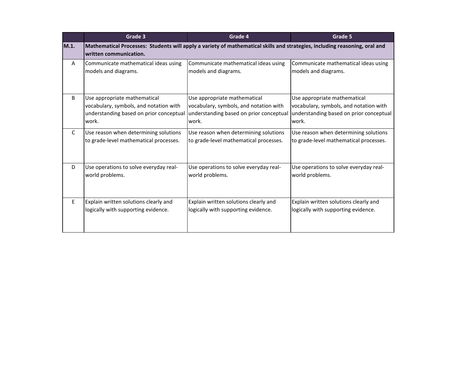|              | Grade 3                                 | Grade 4                                                                                                                    | Grade 5                                 |
|--------------|-----------------------------------------|----------------------------------------------------------------------------------------------------------------------------|-----------------------------------------|
| M.1.         | lwritten communication.                 | Mathematical Processes: Students will apply a variety of mathematical skills and strategies, including reasoning, oral and |                                         |
| $\mathsf{A}$ | Communicate mathematical ideas using    | Communicate mathematical ideas using                                                                                       | Communicate mathematical ideas using    |
|              | models and diagrams.                    | models and diagrams.                                                                                                       | models and diagrams.                    |
| B            | Use appropriate mathematical            | Use appropriate mathematical                                                                                               | Use appropriate mathematical            |
|              | vocabulary, symbols, and notation with  | vocabulary, symbols, and notation with                                                                                     | vocabulary, symbols, and notation with  |
|              | understanding based on prior conceptual | understanding based on prior conceptual                                                                                    | understanding based on prior conceptual |
|              | work.                                   | work.                                                                                                                      | work.                                   |
| C            | Use reason when determining solutions   | Use reason when determining solutions                                                                                      | Use reason when determining solutions   |
|              | to grade-level mathematical processes.  | to grade-level mathematical processes.                                                                                     | to grade-level mathematical processes.  |
| D            | Use operations to solve everyday real-  | Use operations to solve everyday real-                                                                                     | Use operations to solve everyday real-  |
|              | world problems.                         | world problems.                                                                                                            | world problems.                         |
| E            | Explain written solutions clearly and   | Explain written solutions clearly and                                                                                      | Explain written solutions clearly and   |
|              | logically with supporting evidence.     | logically with supporting evidence.                                                                                        | logically with supporting evidence.     |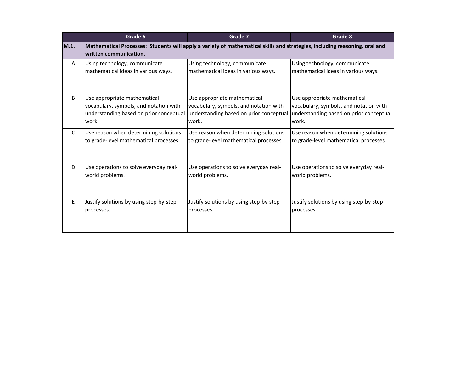|      | Grade 6                                 | Grade 7                                                                                                                    | Grade 8                                 |
|------|-----------------------------------------|----------------------------------------------------------------------------------------------------------------------------|-----------------------------------------|
| M.1. | written communication.                  | Mathematical Processes: Students will apply a variety of mathematical skills and strategies, including reasoning, oral and |                                         |
| A    | Using technology, communicate           | Using technology, communicate                                                                                              | Using technology, communicate           |
|      | mathematical ideas in various ways.     | mathematical ideas in various ways.                                                                                        | mathematical ideas in various ways.     |
| B    | Use appropriate mathematical            | Use appropriate mathematical                                                                                               | Use appropriate mathematical            |
|      | vocabulary, symbols, and notation with  | vocabulary, symbols, and notation with                                                                                     | vocabulary, symbols, and notation with  |
|      | understanding based on prior conceptual | understanding based on prior conceptual                                                                                    | understanding based on prior conceptual |
|      | work.                                   | work.                                                                                                                      | work.                                   |
| C    | Use reason when determining solutions   | Use reason when determining solutions                                                                                      | Use reason when determining solutions   |
|      | to grade-level mathematical processes.  | to grade-level mathematical processes.                                                                                     | to grade-level mathematical processes.  |
| D    | Use operations to solve everyday real-  | Use operations to solve everyday real-                                                                                     | Use operations to solve everyday real-  |
|      | world problems.                         | world problems.                                                                                                            | world problems.                         |
| E    | Justify solutions by using step-by-step | Justify solutions by using step-by-step                                                                                    | Justify solutions by using step-by-step |
|      | processes.                              | processes.                                                                                                                 | processes.                              |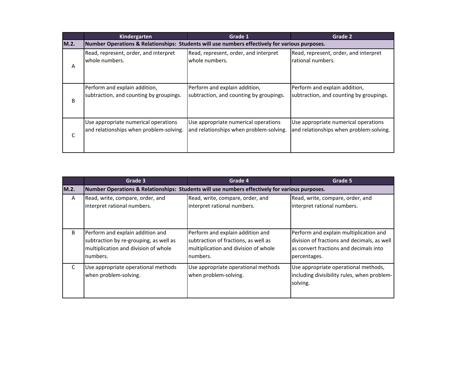|      | Kindergarten                                                                                   | Grade 1                                 | Grade 2                                 |
|------|------------------------------------------------------------------------------------------------|-----------------------------------------|-----------------------------------------|
| M.2. | Number Operations & Relationships: Students will use numbers effectively for various purposes. |                                         |                                         |
| A    | Read, represent, order, and interpret                                                          | Read, represent, order, and interpret   | Read, represent, order, and interpret   |
|      | whole numbers.                                                                                 | whole numbers.                          | rational numbers.                       |
| B    | Perform and explain addition,                                                                  | Perform and explain addition,           | Perform and explain addition,           |
|      | subtraction, and counting by groupings.                                                        | subtraction, and counting by groupings. | subtraction, and counting by groupings. |
| C    | Use appropriate numerical operations                                                           | Use appropriate numerical operations    | Use appropriate numerical operations    |
|      | and relationships when problem-solving.                                                        | and relationships when problem-solving. | and relationships when problem-solving. |

|      | Grade 3                                                                                                                        | Grade 4                                                                                                                      | Grade 5                                                                                                                                         |
|------|--------------------------------------------------------------------------------------------------------------------------------|------------------------------------------------------------------------------------------------------------------------------|-------------------------------------------------------------------------------------------------------------------------------------------------|
| M.2. |                                                                                                                                | Number Operations & Relationships: Students will use numbers effectively for various purposes.                               |                                                                                                                                                 |
| A    | Read, write, compare, order, and<br>interpret rational numbers.                                                                | Read, write, compare, order, and<br>interpret rational numbers.                                                              | Read, write, compare, order, and<br>interpret rational numbers.                                                                                 |
| B    | Perform and explain addition and<br>subtraction by re-grouping, as well as<br>multiplication and division of whole<br>numbers. | Perform and explain addition and<br>subtraction of fractions, as well as<br>multiplication and division of whole<br>numbers. | Perform and explain multiplication and<br>division of fractions and decimals, as well<br>as convert fractions and decimals into<br>percentages. |
| C    | Use appropriate operational methods<br>when problem-solving.                                                                   | Use appropriate operational methods<br>when problem-solving.                                                                 | Use appropriate operational methods,<br>including divisibility rules, when problem-<br>solving.                                                 |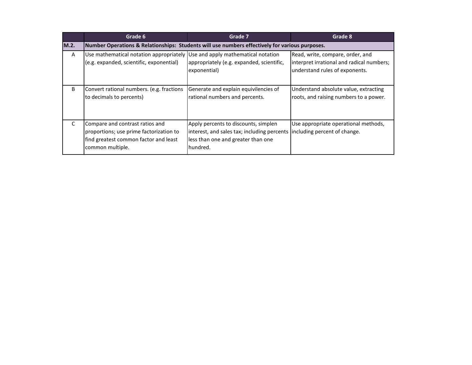|      | Grade 6                                                                                                                                 | Grade 7                                                                                                                               | Grade 8                                                                                                         |
|------|-----------------------------------------------------------------------------------------------------------------------------------------|---------------------------------------------------------------------------------------------------------------------------------------|-----------------------------------------------------------------------------------------------------------------|
| M.2. | Number Operations & Relationships: Students will use numbers effectively for various purposes.                                          |                                                                                                                                       |                                                                                                                 |
| A    | Use mathematical notation appropriately Use and apply mathematical notation<br>(e.g. expanded, scientific, exponential)                 | appropriately (e.g. expanded, scientific,<br>exponential)                                                                             | Read, write, compare, order, and<br>interpret irrational and radical numbers;<br>understand rules of exponents. |
| B    | Convert rational numbers. (e.g. fractions<br>to decimals to percents)                                                                   | Generate and explain equivilencies of<br>rational numbers and percents.                                                               | Understand absolute value, extracting<br>roots, and raising numbers to a power.                                 |
| C    | Compare and contrast ratios and<br>proportions; use prime factorization to<br>find greatest common factor and least<br>common multiple. | Apply percents to discounts, simplen<br>interest, and sales tax; including percents<br>less than one and greater than one<br>hundred. | Use appropriate operational methods,<br>including percent of change.                                            |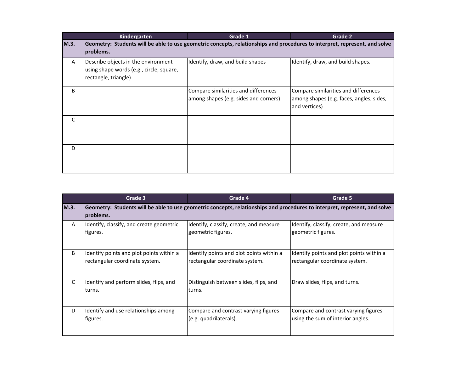|      | <b>Kindergarten</b>                                                                                                                     | Grade 1                                                                       | Grade 2                                                                                           |
|------|-----------------------------------------------------------------------------------------------------------------------------------------|-------------------------------------------------------------------------------|---------------------------------------------------------------------------------------------------|
| M.3. | Geometry: Students will be able to use geometric concepts, relationships and procedures to interpret, represent, and solve<br>problems. |                                                                               |                                                                                                   |
| A    | Describe objects in the environment<br>using shape words (e.g., circle, square,<br>rectangle, triangle)                                 | Identify, draw, and build shapes                                              | Identify, draw, and build shapes.                                                                 |
| B    |                                                                                                                                         | Compare similarities and differences<br>among shapes (e.g. sides and corners) | Compare similarities and differences<br>among shapes (e.g. faces, angles, sides,<br>and vertices) |
| C    |                                                                                                                                         |                                                                               |                                                                                                   |
| D    |                                                                                                                                         |                                                                               |                                                                                                   |

|              | Grade 3                                           | Grade 4                                                                                                                    | Grade 5                                  |
|--------------|---------------------------------------------------|----------------------------------------------------------------------------------------------------------------------------|------------------------------------------|
| M.3.         | problems.                                         | Geometry: Students will be able to use geometric concepts, relationships and procedures to interpret, represent, and solve |                                          |
| $\mathsf{A}$ | Identify, classify, and create geometric          | Identify, classify, create, and measure                                                                                    | Identify, classify, create, and measure  |
|              | figures.                                          | geometric figures.                                                                                                         | geometric figures.                       |
| B            | Identify points and plot points within a          | Identify points and plot points within a                                                                                   | Identify points and plot points within a |
|              | rectangular coordinate system.                    | rectangular coordinate system.                                                                                             | rectangular coordinate system.           |
| C            | Identify and perform slides, flips, and<br>turns. | Distinguish between slides, flips, and<br>turns.                                                                           | Draw slides, flips, and turns.           |
| D            | Identify and use relationships among              | Compare and contrast varying figures                                                                                       | Compare and contrast varying figures     |
|              | figures.                                          | (e.g. quadrilaterals).                                                                                                     | using the sum of interior angles.        |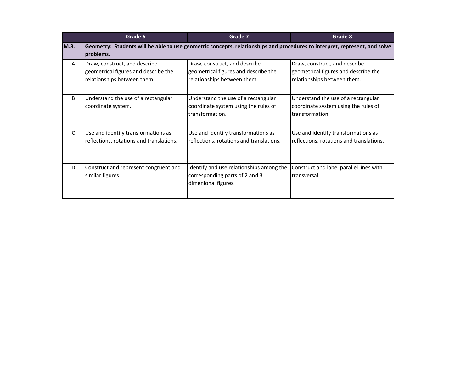|      | Grade 6                                                                                              | Grade 7                                                                                                                    | Grade 8                                                                                              |
|------|------------------------------------------------------------------------------------------------------|----------------------------------------------------------------------------------------------------------------------------|------------------------------------------------------------------------------------------------------|
| M.3. | problems.                                                                                            | Geometry: Students will be able to use geometric concepts, relationships and procedures to interpret, represent, and solve |                                                                                                      |
| A    | Draw, construct, and describe<br>geometrical figures and describe the<br>relationships between them. | Draw, construct, and describe<br>geometrical figures and describe the<br>relationships between them.                       | Draw, construct, and describe<br>geometrical figures and describe the<br>relationships between them. |
| B    | Understand the use of a rectangular<br>coordinate system.                                            | Understand the use of a rectangular<br>coordinate system using the rules of<br>transformation.                             | Understand the use of a rectangular<br>coordinate system using the rules of<br>transformation.       |
| C    | Use and identify transformations as<br>reflections, rotations and translations.                      | Use and identify transformations as<br>reflections, rotations and translations.                                            | Use and identify transformations as<br>reflections, rotations and translations.                      |
| D    | Construct and represent congruent and<br>similar figures.                                            | Identify and use relationships among the<br>corresponding parts of 2 and 3<br>dimenional figures.                          | Construct and label parallel lines with<br>transversal.                                              |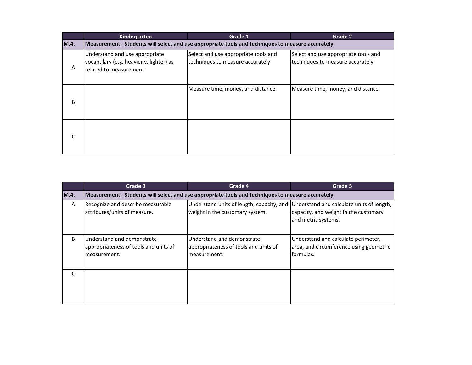|      | Kindergarten                                                                                         | Grade 1                                                                   | Grade 2                                                                   |
|------|------------------------------------------------------------------------------------------------------|---------------------------------------------------------------------------|---------------------------------------------------------------------------|
| M.4. | Measurement: Students will select and use appropriate tools and techniques to measure accurately.    |                                                                           |                                                                           |
| Α    | Understand and use appropriate<br>vocabulary (e.g. heavier v. lighter) as<br>related to measurement. | Select and use appropriate tools and<br>techniques to measure accurately. | Select and use appropriate tools and<br>techniques to measure accurately. |
| B    |                                                                                                      | Measure time, money, and distance.                                        | Measure time, money, and distance.                                        |
| C    |                                                                                                      |                                                                           |                                                                           |

|              | Grade 3                                                                             | Grade 4                                                                                           | Grade 5                                                                                                   |  |
|--------------|-------------------------------------------------------------------------------------|---------------------------------------------------------------------------------------------------|-----------------------------------------------------------------------------------------------------------|--|
| M.4.         |                                                                                     | Measurement: Students will select and use appropriate tools and techniques to measure accurately. |                                                                                                           |  |
| A            | Recognize and describe measurable<br>attributes/units of measure.                   | Understand units of length, capacity, and<br>weight in the customary system.                      | Understand and calculate units of length,<br>capacity, and weight in the customary<br>and metric systems. |  |
| B.           | Understand and demonstrate<br>appropriateness of tools and units of<br>measurement. | Understand and demonstrate<br>appropriateness of tools and units of<br>measurement.               | Understand and calculate perimeter,<br>area, and circumference using geometric<br>formulas.               |  |
| $\mathsf{C}$ |                                                                                     |                                                                                                   |                                                                                                           |  |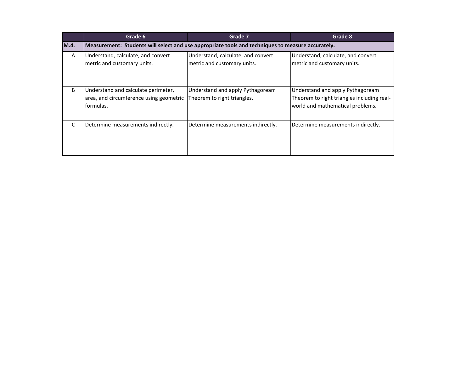|      | Grade 6                                                                                           | Grade 7                                                           | Grade 8                                                                                                            |  |
|------|---------------------------------------------------------------------------------------------------|-------------------------------------------------------------------|--------------------------------------------------------------------------------------------------------------------|--|
| M.4. | Measurement: Students will select and use appropriate tools and techniques to measure accurately. |                                                                   |                                                                                                                    |  |
| A    | Understand, calculate, and convert<br>metric and customary units.                                 | Understand, calculate, and convert<br>metric and customary units. | Understand, calculate, and convert<br>metric and customary units.                                                  |  |
| B    | Understand and calculate perimeter,<br>area, and circumference using geometric<br>formulas.       | Understand and apply Pythagoream<br>Theorem to right triangles.   | Understand and apply Pythagoream<br>Theorem to right triangles including real-<br>world and mathematical problems. |  |
| C    | Determine measurements indirectly.                                                                | Determine measurements indirectly.                                | Determine measurements indirectly.                                                                                 |  |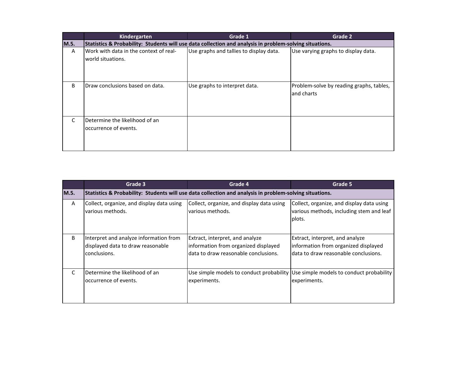|      | Kindergarten                                                                                            | Grade 1                                 | Grade 2                                                |  |
|------|---------------------------------------------------------------------------------------------------------|-----------------------------------------|--------------------------------------------------------|--|
| M.5. | Statistics & Probability: Students will use data collection and analysis in problem-solving situations. |                                         |                                                        |  |
| A    | Work with data in the context of real-<br>world situations.                                             | Use graphs and tallies to display data. | Use varying graphs to display data.                    |  |
| B    | Draw conclusions based on data.                                                                         | Use graphs to interpret data.           | Problem-solve by reading graphs, tables,<br>and charts |  |
| C    | Determine the likelihood of an<br>occurrence of events.                                                 |                                         |                                                        |  |

|      | Grade 3                                                                                                 | Grade 4                                                                                                         | Grade 5                                                                                                         |  |
|------|---------------------------------------------------------------------------------------------------------|-----------------------------------------------------------------------------------------------------------------|-----------------------------------------------------------------------------------------------------------------|--|
| M.5. | Statistics & Probability: Students will use data collection and analysis in problem-solving situations. |                                                                                                                 |                                                                                                                 |  |
| A    | Collect, organize, and display data using<br>various methods.                                           | Collect, organize, and display data using<br>various methods.                                                   | Collect, organize, and display data using<br>various methods, including stem and leaf<br>plots.                 |  |
| B    | Interpret and analyze information from<br>displayed data to draw reasonable<br>conclusions.             | Extract, interpret, and analyze<br>information from organized displayed<br>data to draw reasonable conclusions. | Extract, interpret, and analyze<br>information from organized displayed<br>data to draw reasonable conclusions. |  |
| C    | <b>IDetermine the likelihood of an</b><br>loccurrence of events.                                        | experiments.                                                                                                    | Use simple models to conduct probability Use simple models to conduct probability<br>experiments.               |  |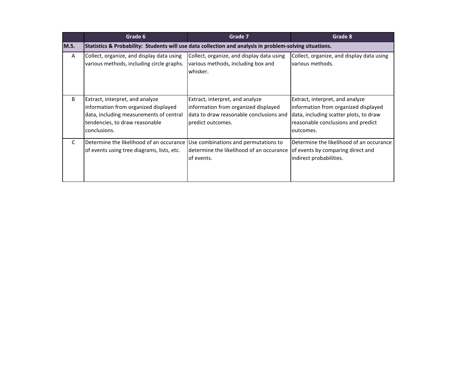|              | Grade 6                                                                                                                                                              | Grade 7                                                                                                                                 | Grade 8                                                                                                                                                              |  |
|--------------|----------------------------------------------------------------------------------------------------------------------------------------------------------------------|-----------------------------------------------------------------------------------------------------------------------------------------|----------------------------------------------------------------------------------------------------------------------------------------------------------------------|--|
| M.5.         | Statistics & Probability: Students will use data collection and analysis in problem-solving situations.                                                              |                                                                                                                                         |                                                                                                                                                                      |  |
| A            | Collect, organize, and display data using<br>various methods, including circle graphs.                                                                               | Collect, organize, and display data using<br>various methods, including box and<br>whisker.                                             | Collect, organize, and display data using<br>various methods.                                                                                                        |  |
| B            | Extract, interpret, and analyze<br>information from organized displayed<br>data, including measurements of central<br>tendencies, to draw reasonable<br>conclusions. | Extract, interpret, and analyze<br>information from organized displayed<br>data to draw reasonable conclusions and<br>predict outcomes. | Extract, interpret, and analyze<br>information from organized displayed<br>data, including scatter plots, to draw<br>reasonable conclusions and predict<br>outcomes. |  |
| $\mathsf{C}$ | Determine the likelihood of an occurance<br>of events using tree diagrams, lists, etc.                                                                               | Use combinations and permutations to<br>determine the likelihood of an occurance<br>of events.                                          | Determine the likelihood of an occurance<br>of events by comparing direct and<br>indirect probabilities.                                                             |  |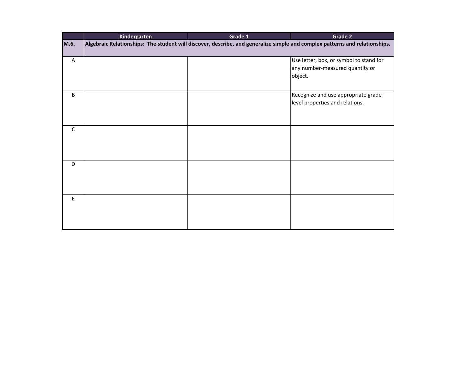|                         | Kindergarten                                                                                                                | Grade 1 | Grade 2                                                                               |  |
|-------------------------|-----------------------------------------------------------------------------------------------------------------------------|---------|---------------------------------------------------------------------------------------|--|
| M.6.                    | Algebraic Relationships: The student will discover, describe, and generalize simple and complex patterns and relationships. |         |                                                                                       |  |
| $\overline{\mathsf{A}}$ |                                                                                                                             |         | Use letter, box, or symbol to stand for<br>any number-measured quantity or<br>object. |  |
| B                       |                                                                                                                             |         | Recognize and use appropriate grade-<br>level properties and relations.               |  |
| $\mathsf C$             |                                                                                                                             |         |                                                                                       |  |
| D                       |                                                                                                                             |         |                                                                                       |  |
| E                       |                                                                                                                             |         |                                                                                       |  |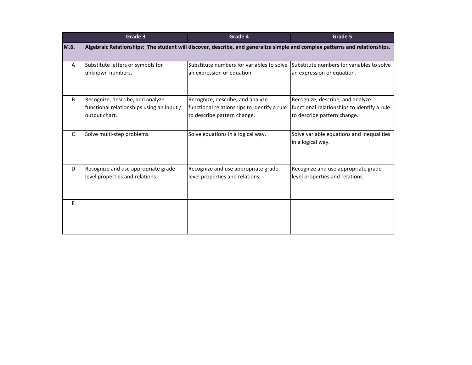|      | Grade 3                                                                                                                     | Grade 4                                                                                                        | Grade 5                                                                                                        |  |
|------|-----------------------------------------------------------------------------------------------------------------------------|----------------------------------------------------------------------------------------------------------------|----------------------------------------------------------------------------------------------------------------|--|
| M.6. | Algebraic Relationships: The student will discover, describe, and generalize simple and complex patterns and relationships. |                                                                                                                |                                                                                                                |  |
| A    | Substitute letters or symbols for<br>unknown numbers.                                                                       | Substitute numbers for variables to solve<br>an expression or equation.                                        | Substitute numbers for variables to solve<br>an expression or equation.                                        |  |
| B    | Recognize, describe, and analyze<br>functional relationships using an input /<br>output chart.                              | Recognize, describe, and analyze<br>functional relationships to identify a rule<br>to describe pattern change. | Recognize, describe, and analyze<br>functional relationships to identify a rule<br>to describe pattern change. |  |
| C    | Solve multi-step problems.                                                                                                  | Solve equations in a logical way.                                                                              | Solve variable equations and inequalities<br>in a logical way.                                                 |  |
| D    | Recognize and use appropriate grade-<br>level properties and relations.                                                     | Recognize and use appropriate grade-<br>level properties and relations.                                        | Recognize and use appropriate grade-<br>level properties and relations.                                        |  |
| E    |                                                                                                                             |                                                                                                                |                                                                                                                |  |